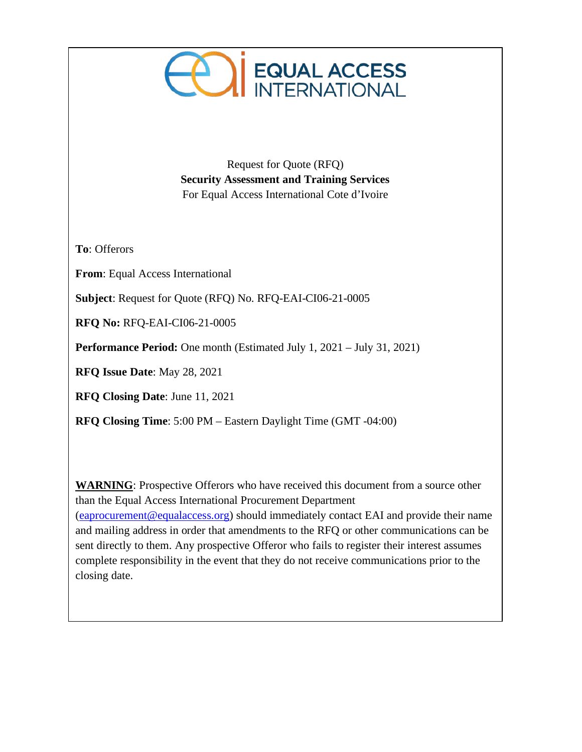

Request for Quote (RFQ) **Security Assessment and Training Services** For Equal Access International Cote d'Ivoire

**To**: Offerors

**From**: Equal Access International

**Subject**: Request for Quote (RFQ) No. RFQ-EAI-CI06-21-0005

**RFQ No:** RFQ-EAI-CI06-21-0005

**Performance Period:** One month (Estimated July 1, 2021 – July 31, 2021)

**RFQ Issue Date**: May 28, 2021

**RFQ Closing Date**: June 11, 2021

**RFQ Closing Time**: 5:00 PM – Eastern Daylight Time (GMT -04:00)

**WARNING**: Prospective Offerors who have received this document from a source other than the Equal Access International Procurement Department [\(eaprocurement@equalaccess.org\)](mailto:eaprocurement@equalaccess.org) should immediately contact EAI and provide their name and mailing address in order that amendments to the RFQ or other communications can be sent directly to them. Any prospective Offeror who fails to register their interest assumes complete responsibility in the event that they do not receive communications prior to the closing date.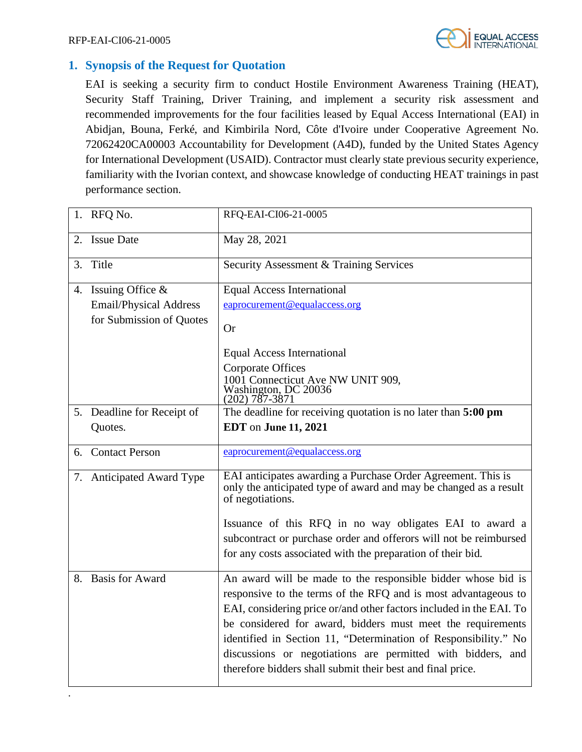

# **1. Synopsis of the Request for Quotation**

EAI is seeking a security firm to conduct Hostile Environment Awareness Training (HEAT), Security Staff Training, Driver Training, and implement a security risk assessment and recommended improvements for the four facilities leased by Equal Access International (EAI) in Abidjan, Bouna, Ferké, and Kimbirila Nord, Côte d'Ivoire under Cooperative Agreement No. 72062420CA00003 Accountability for Development (A4D), funded by the United States Agency for International Development (USAID). Contractor must clearly state previous security experience, familiarity with the Ivorian context, and showcase knowledge of conducting HEAT trainings in past performance section.

|    | 1. RFQ No.                                                                          | RFQ-EAI-CI06-21-0005                                                                                                                                                                                                                                                                                                                                                                                                                                                 |
|----|-------------------------------------------------------------------------------------|----------------------------------------------------------------------------------------------------------------------------------------------------------------------------------------------------------------------------------------------------------------------------------------------------------------------------------------------------------------------------------------------------------------------------------------------------------------------|
| 2. | <b>Issue Date</b>                                                                   | May 28, 2021                                                                                                                                                                                                                                                                                                                                                                                                                                                         |
| 3. | Title                                                                               | Security Assessment & Training Services                                                                                                                                                                                                                                                                                                                                                                                                                              |
|    | 4. Issuing Office $\&$<br><b>Email/Physical Address</b><br>for Submission of Quotes | <b>Equal Access International</b><br>eaprocurement@equalaccess.org<br><b>Or</b><br><b>Equal Access International</b><br><b>Corporate Offices</b><br>1001 Connecticut Ave NW UNIT 909,<br>Washington, DC 20036<br>$(202) 787 - 3871$                                                                                                                                                                                                                                  |
|    | 5. Deadline for Receipt of<br>Quotes.                                               | The deadline for receiving quotation is no later than 5:00 pm<br><b>EDT</b> on June 11, 2021                                                                                                                                                                                                                                                                                                                                                                         |
|    | 6. Contact Person                                                                   | eaprocurement@equalaccess.org                                                                                                                                                                                                                                                                                                                                                                                                                                        |
|    | 7. Anticipated Award Type                                                           | EAI anticipates awarding a Purchase Order Agreement. This is<br>only the anticipated type of award and may be changed as a result<br>of negotiations.<br>Issuance of this RFQ in no way obligates EAI to award a<br>subcontract or purchase order and offerors will not be reimbursed<br>for any costs associated with the preparation of their bid.                                                                                                                 |
|    | 8. Basis for Award                                                                  | An award will be made to the responsible bidder whose bid is<br>responsive to the terms of the RFQ and is most advantageous to<br>EAI, considering price or/and other factors included in the EAI. To<br>be considered for award, bidders must meet the requirements<br>identified in Section 11, "Determination of Responsibility." No<br>discussions or negotiations are permitted with bidders, and<br>therefore bidders shall submit their best and final price. |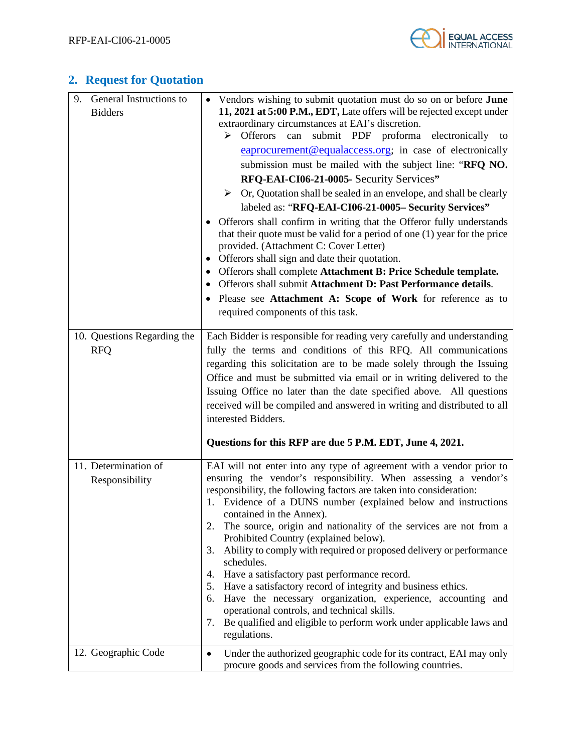

# **2. Request for Quotation**

| General Instructions to<br>9.<br><b>Bidders</b> | Vendors wishing to submit quotation must do so on or before <b>June</b><br>11, 2021 at 5:00 P.M., EDT, Late offers will be rejected except under<br>extraordinary circumstances at EAI's discretion.<br>submit PDF proforma electronically to<br>$\triangleright$ Offerors<br>can<br>eaprocurement@equalaccess.org; in case of electronically<br>submission must be mailed with the subject line: "RFQ NO.<br>RFQ-EAI-CI06-21-0005- Security Services"<br>$\triangleright$ Or, Quotation shall be sealed in an envelope, and shall be clearly<br>labeled as: "RFQ-EAI-CI06-21-0005- Security Services"<br>Offerors shall confirm in writing that the Offeror fully understands<br>that their quote must be valid for a period of one (1) year for the price<br>provided. (Attachment C: Cover Letter)<br>Offerors shall sign and date their quotation.<br>٠<br>Offerors shall complete Attachment B: Price Schedule template.<br>٠<br>Offerors shall submit Attachment D: Past Performance details.<br>$\bullet$<br>Please see Attachment A: Scope of Work for reference as to<br>$\bullet$<br>required components of this task. |
|-------------------------------------------------|----------------------------------------------------------------------------------------------------------------------------------------------------------------------------------------------------------------------------------------------------------------------------------------------------------------------------------------------------------------------------------------------------------------------------------------------------------------------------------------------------------------------------------------------------------------------------------------------------------------------------------------------------------------------------------------------------------------------------------------------------------------------------------------------------------------------------------------------------------------------------------------------------------------------------------------------------------------------------------------------------------------------------------------------------------------------------------------------------------------------------------|
| 10. Questions Regarding the<br><b>RFQ</b>       | Each Bidder is responsible for reading very carefully and understanding<br>fully the terms and conditions of this RFQ. All communications<br>regarding this solicitation are to be made solely through the Issuing<br>Office and must be submitted via email or in writing delivered to the<br>Issuing Office no later than the date specified above. All questions<br>received will be compiled and answered in writing and distributed to all<br>interested Bidders.<br>Questions for this RFP are due 5 P.M. EDT, June 4, 2021.                                                                                                                                                                                                                                                                                                                                                                                                                                                                                                                                                                                               |
| 11. Determination of<br>Responsibility          | EAI will not enter into any type of agreement with a vendor prior to<br>ensuring the vendor's responsibility. When assessing a vendor's<br>responsibility, the following factors are taken into consideration:<br>1. Evidence of a DUNS number (explained below and instructions<br>contained in the Annex).<br>The source, origin and nationality of the services are not from a<br>2.<br>Prohibited Country (explained below).<br>Ability to comply with required or proposed delivery or performance<br>3.<br>schedules.<br>Have a satisfactory past performance record.<br>4.<br>Have a satisfactory record of integrity and business ethics.<br>5.<br>Have the necessary organization, experience, accounting and<br>6.<br>operational controls, and technical skills.<br>Be qualified and eligible to perform work under applicable laws and<br>7.<br>regulations.                                                                                                                                                                                                                                                         |
| 12. Geographic Code                             | Under the authorized geographic code for its contract, EAI may only<br>$\bullet$<br>procure goods and services from the following countries.                                                                                                                                                                                                                                                                                                                                                                                                                                                                                                                                                                                                                                                                                                                                                                                                                                                                                                                                                                                     |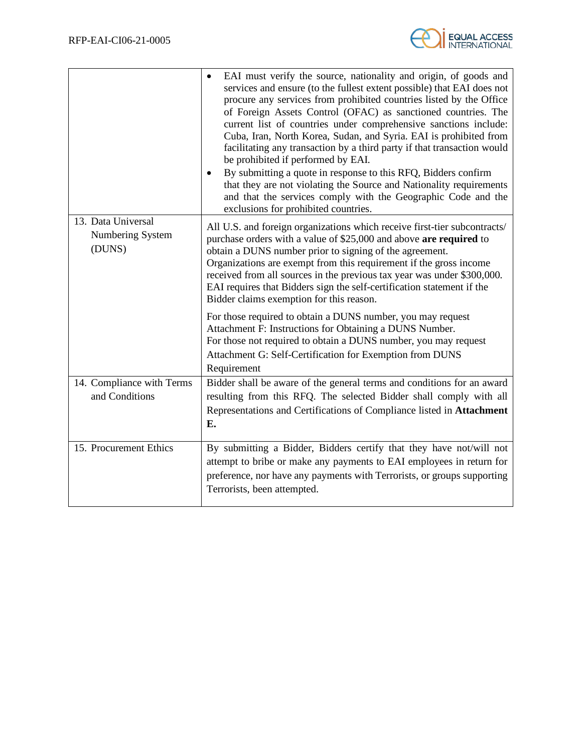

|                                                  | EAI must verify the source, nationality and origin, of goods and<br>services and ensure (to the fullest extent possible) that EAI does not<br>procure any services from prohibited countries listed by the Office<br>of Foreign Assets Control (OFAC) as sanctioned countries. The<br>current list of countries under comprehensive sanctions include:<br>Cuba, Iran, North Korea, Sudan, and Syria. EAI is prohibited from<br>facilitating any transaction by a third party if that transaction would<br>be prohibited if performed by EAI.<br>By submitting a quote in response to this RFQ, Bidders confirm<br>٠<br>that they are not violating the Source and Nationality requirements<br>and that the services comply with the Geographic Code and the<br>exclusions for prohibited countries. |
|--------------------------------------------------|-----------------------------------------------------------------------------------------------------------------------------------------------------------------------------------------------------------------------------------------------------------------------------------------------------------------------------------------------------------------------------------------------------------------------------------------------------------------------------------------------------------------------------------------------------------------------------------------------------------------------------------------------------------------------------------------------------------------------------------------------------------------------------------------------------|
| 13. Data Universal<br>Numbering System<br>(DUNS) | All U.S. and foreign organizations which receive first-tier subcontracts/<br>purchase orders with a value of \$25,000 and above are required to<br>obtain a DUNS number prior to signing of the agreement.<br>Organizations are exempt from this requirement if the gross income<br>received from all sources in the previous tax year was under \$300,000.<br>EAI requires that Bidders sign the self-certification statement if the<br>Bidder claims exemption for this reason.                                                                                                                                                                                                                                                                                                                   |
|                                                  | For those required to obtain a DUNS number, you may request<br>Attachment F: Instructions for Obtaining a DUNS Number.<br>For those not required to obtain a DUNS number, you may request<br>Attachment G: Self-Certification for Exemption from DUNS<br>Requirement                                                                                                                                                                                                                                                                                                                                                                                                                                                                                                                                |
| 14. Compliance with Terms<br>and Conditions      | Bidder shall be aware of the general terms and conditions for an award<br>resulting from this RFQ. The selected Bidder shall comply with all                                                                                                                                                                                                                                                                                                                                                                                                                                                                                                                                                                                                                                                        |
|                                                  | Representations and Certifications of Compliance listed in Attachment<br>Е.                                                                                                                                                                                                                                                                                                                                                                                                                                                                                                                                                                                                                                                                                                                         |
| 15. Procurement Ethics                           | By submitting a Bidder, Bidders certify that they have not/will not<br>attempt to bribe or make any payments to EAI employees in return for<br>preference, nor have any payments with Terrorists, or groups supporting<br>Terrorists, been attempted.                                                                                                                                                                                                                                                                                                                                                                                                                                                                                                                                               |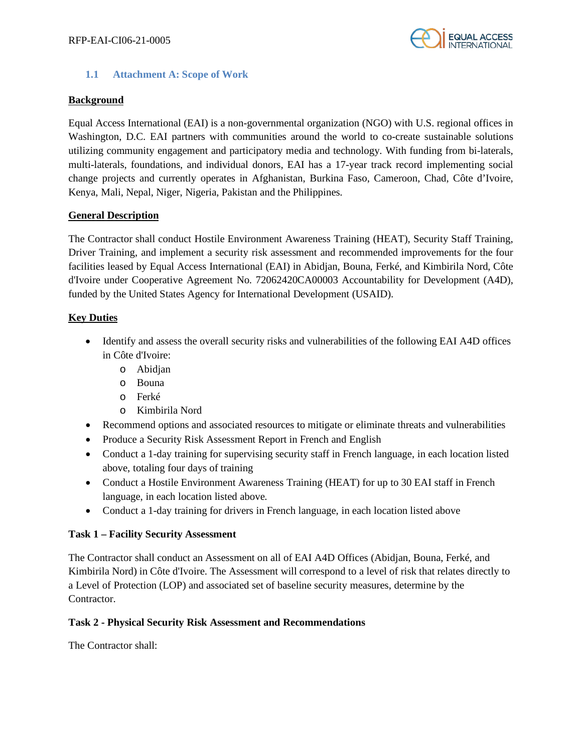

#### **1.1 Attachment A: Scope of Work**

#### **Background**

Equal Access International (EAI) is a non-governmental organization (NGO) with U.S. regional offices in Washington, D.C. EAI partners with communities around the world to co-create sustainable solutions utilizing community engagement and participatory media and technology. With funding from bi-laterals, multi-laterals, foundations, and individual donors, EAI has a 17-year track record implementing social change projects and currently operates in Afghanistan, Burkina Faso, Cameroon, Chad, Côte d'Ivoire, Kenya, Mali, Nepal, Niger, Nigeria, Pakistan and the Philippines.

# **General Description**

The Contractor shall conduct Hostile Environment Awareness Training (HEAT), Security Staff Training, Driver Training, and implement a security risk assessment and recommended improvements for the four facilities leased by Equal Access International (EAI) in Abidjan, Bouna, Ferké, and Kimbirila Nord, Côte d'Ivoire under Cooperative Agreement No. 72062420CA00003 Accountability for Development (A4D), funded by the United States Agency for International Development (USAID).

# **Key Duties**

- Identify and assess the overall security risks and vulnerabilities of the following EAI A4D offices in Côte d'Ivoire:
	- o Abidjan
	- o Bouna
	- o Ferké
	- o Kimbirila Nord
- Recommend options and associated resources to mitigate or eliminate threats and vulnerabilities
- Produce a Security Risk Assessment Report in French and English
- Conduct a 1-day training for supervising security staff in French language, in each location listed above, totaling four days of training
- Conduct a Hostile Environment Awareness Training (HEAT) for up to 30 EAI staff in French language, in each location listed above.
- Conduct a 1-day training for drivers in French language, in each location listed above

#### **Task 1 – Facility Security Assessment**

The Contractor shall conduct an Assessment on all of EAI A4D Offices (Abidjan, Bouna, Ferké, and Kimbirila Nord) in Côte d'Ivoire. The Assessment will correspond to a level of risk that relates directly to a Level of Protection (LOP) and associated set of baseline security measures, determine by the Contractor.

#### **Task 2 - Physical Security Risk Assessment and Recommendations**

The Contractor shall: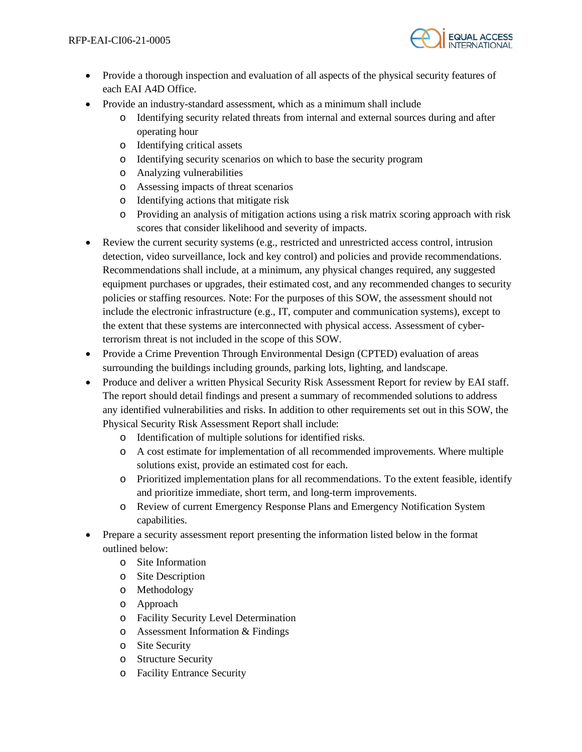

- Provide a thorough inspection and evaluation of all aspects of the physical security features of each EAI A4D Office.
- Provide an industry-standard assessment, which as a minimum shall include
	- o Identifying security related threats from internal and external sources during and after operating hour
	- o Identifying critical assets
	- o Identifying security scenarios on which to base the security program
	- o Analyzing vulnerabilities
	- o Assessing impacts of threat scenarios
	- o Identifying actions that mitigate risk
	- o Providing an analysis of mitigation actions using a risk matrix scoring approach with risk scores that consider likelihood and severity of impacts.
- Review the current security systems (e.g., restricted and unrestricted access control, intrusion detection, video surveillance, lock and key control) and policies and provide recommendations. Recommendations shall include, at a minimum, any physical changes required, any suggested equipment purchases or upgrades, their estimated cost, and any recommended changes to security policies or staffing resources. Note: For the purposes of this SOW, the assessment should not include the electronic infrastructure (e.g., IT, computer and communication systems), except to the extent that these systems are interconnected with physical access. Assessment of cyberterrorism threat is not included in the scope of this SOW.
- Provide a Crime Prevention Through Environmental Design (CPTED) evaluation of areas surrounding the buildings including grounds, parking lots, lighting, and landscape.
- Produce and deliver a written Physical Security Risk Assessment Report for review by EAI staff. The report should detail findings and present a summary of recommended solutions to address any identified vulnerabilities and risks. In addition to other requirements set out in this SOW, the Physical Security Risk Assessment Report shall include:
	- o Identification of multiple solutions for identified risks.
	- o A cost estimate for implementation of all recommended improvements. Where multiple solutions exist, provide an estimated cost for each.
	- o Prioritized implementation plans for all recommendations. To the extent feasible, identify and prioritize immediate, short term, and long-term improvements.
	- o Review of current Emergency Response Plans and Emergency Notification System capabilities.
- Prepare a security assessment report presenting the information listed below in the format outlined below:
	- o Site Information
	- o Site Description
	- o Methodology
	- o Approach
	- o Facility Security Level Determination
	- o Assessment Information & Findings
	- o Site Security
	- o Structure Security
	- o Facility Entrance Security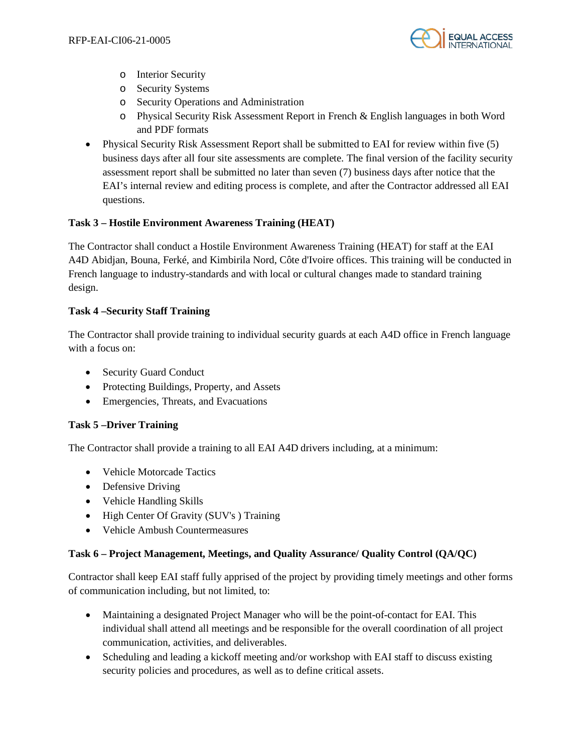

- o Interior Security
- o Security Systems
- o Security Operations and Administration
- o Physical Security Risk Assessment Report in French & English languages in both Word and PDF formats
- Physical Security Risk Assessment Report shall be submitted to EAI for review within five (5) business days after all four site assessments are complete. The final version of the facility security assessment report shall be submitted no later than seven (7) business days after notice that the EAI's internal review and editing process is complete, and after the Contractor addressed all EAI questions.

# **Task 3 – Hostile Environment Awareness Training (HEAT)**

The Contractor shall conduct a Hostile Environment Awareness Training (HEAT) for staff at the EAI A4D Abidjan, Bouna, Ferké, and Kimbirila Nord, Côte d'Ivoire offices. This training will be conducted in French language to industry-standards and with local or cultural changes made to standard training design.

# **Task 4 –Security Staff Training**

The Contractor shall provide training to individual security guards at each A4D office in French language with a focus on:

- Security Guard Conduct
- Protecting Buildings, Property, and Assets
- Emergencies, Threats, and Evacuations

#### **Task 5 –Driver Training**

The Contractor shall provide a training to all EAI A4D drivers including, at a minimum:

- Vehicle Motorcade Tactics
- Defensive Driving
- Vehicle Handling Skills
- High Center Of Gravity (SUV's) Training
- Vehicle Ambush Countermeasures

# **Task 6 – Project Management, Meetings, and Quality Assurance/ Quality Control (QA/QC)**

Contractor shall keep EAI staff fully apprised of the project by providing timely meetings and other forms of communication including, but not limited, to:

- Maintaining a designated Project Manager who will be the point-of-contact for EAI. This individual shall attend all meetings and be responsible for the overall coordination of all project communication, activities, and deliverables.
- Scheduling and leading a kickoff meeting and/or workshop with EAI staff to discuss existing security policies and procedures, as well as to define critical assets.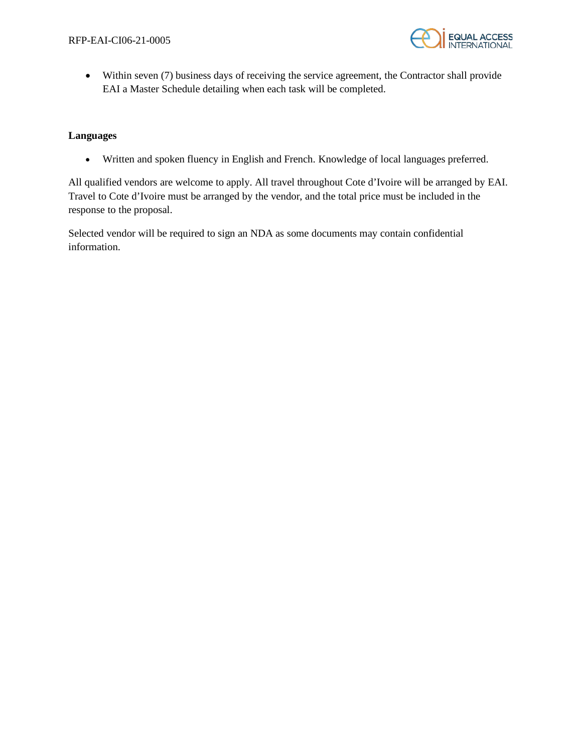

• Within seven (7) business days of receiving the service agreement, the Contractor shall provide EAI a Master Schedule detailing when each task will be completed.

#### **Languages**

• Written and spoken fluency in English and French. Knowledge of local languages preferred.

All qualified vendors are welcome to apply. All travel throughout Cote d'Ivoire will be arranged by EAI. Travel to Cote d'Ivoire must be arranged by the vendor, and the total price must be included in the response to the proposal.

Selected vendor will be required to sign an NDA as some documents may contain confidential information.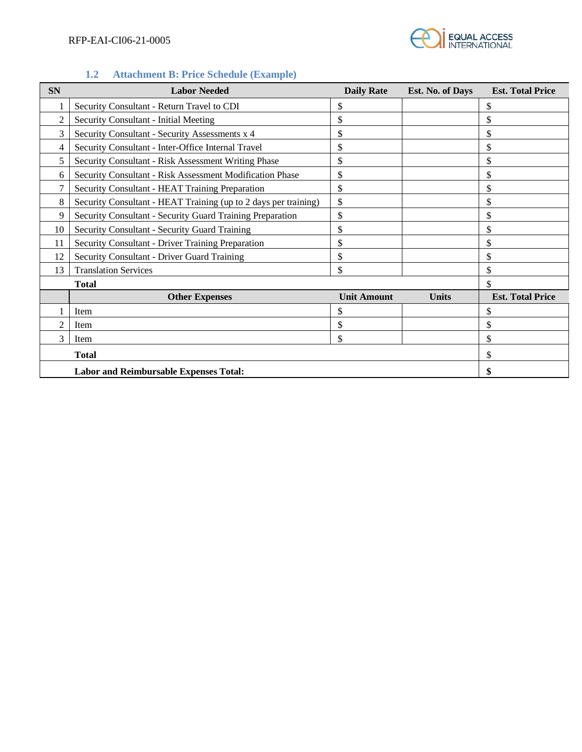

# **1.2 Attachment B: Price Schedule (Example)**

| <b>SN</b>      | <b>Labor Needed</b>                                             | <b>Daily Rate</b>  | Est. No. of Days | <b>Est. Total Price</b> |
|----------------|-----------------------------------------------------------------|--------------------|------------------|-------------------------|
|                | Security Consultant - Return Travel to CDI                      | \$                 |                  | \$                      |
| $\overline{2}$ | Security Consultant - Initial Meeting                           | \$                 |                  | \$                      |
| 3              | Security Consultant - Security Assessments x 4                  | \$                 |                  | \$                      |
| 4              | Security Consultant - Inter-Office Internal Travel              | \$                 |                  | \$                      |
| 5              | Security Consultant - Risk Assessment Writing Phase             | \$                 |                  | \$                      |
| 6              | Security Consultant - Risk Assessment Modification Phase        | \$                 |                  | \$                      |
| 7              | Security Consultant - HEAT Training Preparation                 | \$                 |                  | \$                      |
| 8              | Security Consultant - HEAT Training (up to 2 days per training) | \$                 |                  | \$                      |
| 9              | Security Consultant - Security Guard Training Preparation       | \$                 |                  | \$                      |
| 10             | Security Consultant - Security Guard Training                   | \$                 |                  | \$                      |
| 11             | Security Consultant - Driver Training Preparation               | \$                 |                  | \$                      |
| 12             | Security Consultant - Driver Guard Training                     | \$                 |                  | \$                      |
| 13             | <b>Translation Services</b>                                     | \$                 |                  | \$                      |
|                | Total                                                           |                    |                  | \$                      |
|                | <b>Other Expenses</b>                                           | <b>Unit Amount</b> | <b>Units</b>     | <b>Est. Total Price</b> |
|                | Item                                                            | \$                 |                  | \$                      |
| $\mathfrak{D}$ | Item                                                            | \$                 |                  | \$                      |
| 3              | Item                                                            | \$                 |                  | \$                      |
|                |                                                                 | \$                 |                  |                         |
|                |                                                                 |                    |                  |                         |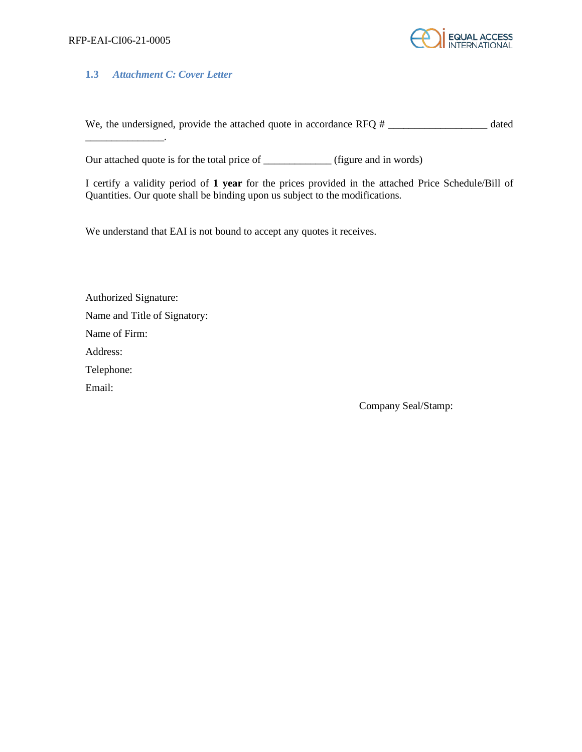$\mathcal{L}=\mathcal{L}=\mathcal{L}=\mathcal{L}=\mathcal{L}=\mathcal{L}$ 



# **1.3** *Attachment C: Cover Letter*

We, the undersigned, provide the attached quote in accordance RFQ  $#$  \_\_\_\_\_\_\_\_\_\_\_\_\_\_\_\_\_\_\_\_\_\_\_ dated

Our attached quote is for the total price of \_\_\_\_\_\_\_\_\_\_\_\_\_ (figure and in words)

I certify a validity period of **1 year** for the prices provided in the attached Price Schedule/Bill of Quantities. Our quote shall be binding upon us subject to the modifications.

We understand that EAI is not bound to accept any quotes it receives.

Authorized Signature: Name and Title of Signatory: Name of Firm: Address: Telephone: Email:

Company Seal/Stamp: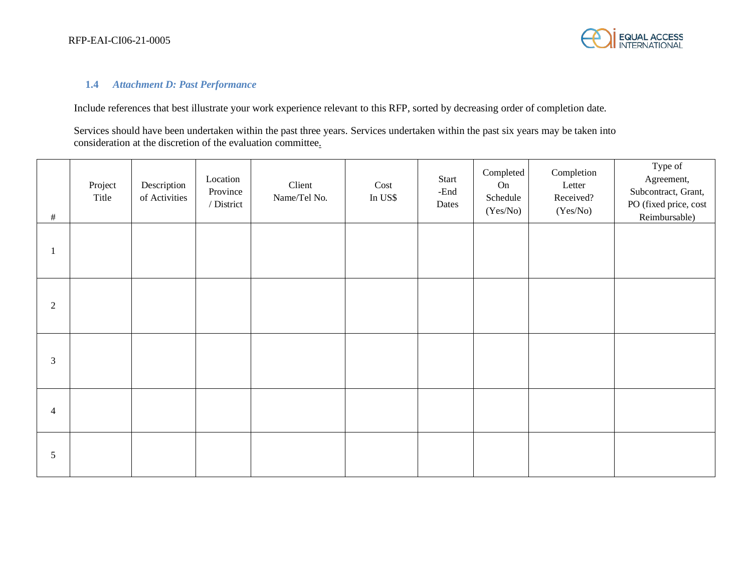

# **1.4** *Attachment D: Past Performance*

Include references that best illustrate your work experience relevant to this RFP, sorted by decreasing order of completion date.

Services should have been undertaken within the past three years. Services undertaken within the past six years may be taken into consideration at the discretion of the evaluation committee.

| $\#$           | Project<br>Title | Description<br>of Activities | Location<br>Province<br>/ District | Client<br>Name/Tel No. | Cost<br>In US\$ | Start<br>-End<br>Dates | Completed<br>On<br>Schedule<br>(Yes/No) | Completion<br>Letter<br>Received?<br>(Yes/No) | Type of<br>Agreement,<br>Subcontract, Grant,<br>PO (fixed price, cost<br>Reimbursable) |
|----------------|------------------|------------------------------|------------------------------------|------------------------|-----------------|------------------------|-----------------------------------------|-----------------------------------------------|----------------------------------------------------------------------------------------|
| л              |                  |                              |                                    |                        |                 |                        |                                         |                                               |                                                                                        |
| $\overline{c}$ |                  |                              |                                    |                        |                 |                        |                                         |                                               |                                                                                        |
| $\mathfrak{Z}$ |                  |                              |                                    |                        |                 |                        |                                         |                                               |                                                                                        |
| $\overline{4}$ |                  |                              |                                    |                        |                 |                        |                                         |                                               |                                                                                        |
| 5              |                  |                              |                                    |                        |                 |                        |                                         |                                               |                                                                                        |